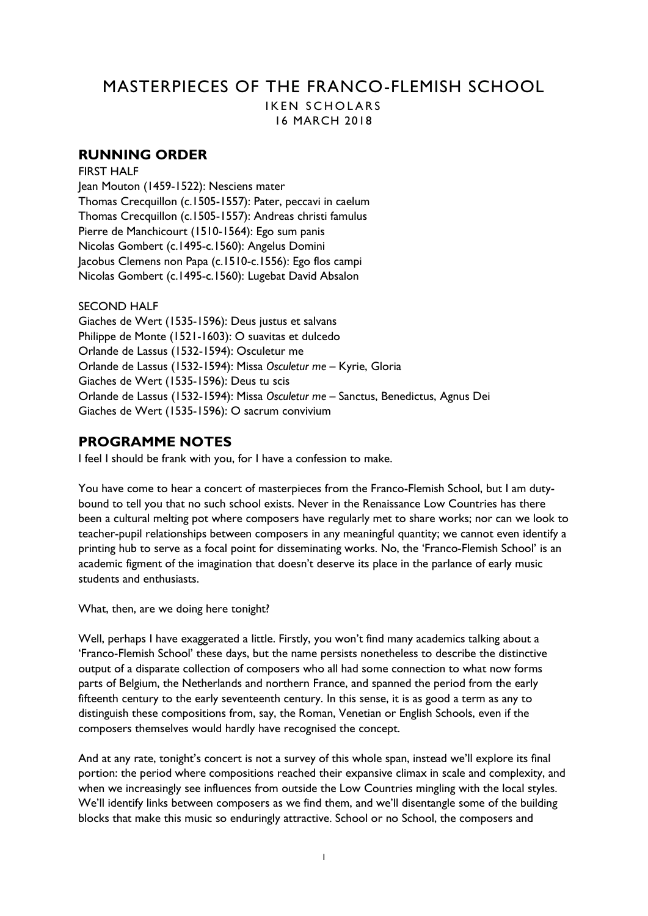# MASTERPIECES OF THE FRANCO-FLEMISH SCHOOL IKEN SCHOLARS

16 MARCH 2018

# **RUNNING ORDER**

FIRST HALF Jean Mouton (1459-1522): Nesciens mater Thomas Crecquillon (c.1505-1557): Pater, peccavi in caelum Thomas Crecquillon (c.1505-1557): Andreas christi famulus Pierre de Manchicourt (1510-1564): Ego sum panis Nicolas Gombert (c.1495-c.1560): Angelus Domini Jacobus Clemens non Papa (c.1510-c.1556): Ego flos campi Nicolas Gombert (c.1495-c.1560): Lugebat David Absalon

# SECOND HALF

Giaches de Wert (1535-1596): Deus justus et salvans Philippe de Monte (1521-1603): O suavitas et dulcedo Orlande de Lassus (1532-1594): Osculetur me Orlande de Lassus (1532-1594): Missa *Osculetur me* – Kyrie, Gloria Giaches de Wert (1535-1596): Deus tu scis Orlande de Lassus (1532-1594): Missa *Osculetur me* – Sanctus, Benedictus, Agnus Dei Giaches de Wert (1535-1596): O sacrum convivium

# **PROGRAMME NOTES**

I feel I should be frank with you, for I have a confession to make.

You have come to hear a concert of masterpieces from the Franco-Flemish School, but I am dutybound to tell you that no such school exists. Never in the Renaissance Low Countries has there been a cultural melting pot where composers have regularly met to share works; nor can we look to teacher-pupil relationships between composers in any meaningful quantity; we cannot even identify a printing hub to serve as a focal point for disseminating works. No, the 'Franco-Flemish School' is an academic figment of the imagination that doesn't deserve its place in the parlance of early music students and enthusiasts.

What, then, are we doing here tonight?

Well, perhaps I have exaggerated a little. Firstly, you won't find many academics talking about a 'Franco-Flemish School' these days, but the name persists nonetheless to describe the distinctive output of a disparate collection of composers who all had some connection to what now forms parts of Belgium, the Netherlands and northern France, and spanned the period from the early fifteenth century to the early seventeenth century. In this sense, it is as good a term as any to distinguish these compositions from, say, the Roman, Venetian or English Schools, even if the composers themselves would hardly have recognised the concept.

And at any rate, tonight's concert is not a survey of this whole span, instead we'll explore its final portion: the period where compositions reached their expansive climax in scale and complexity, and when we increasingly see influences from outside the Low Countries mingling with the local styles. We'll identify links between composers as we find them, and we'll disentangle some of the building blocks that make this music so enduringly attractive. School or no School, the composers and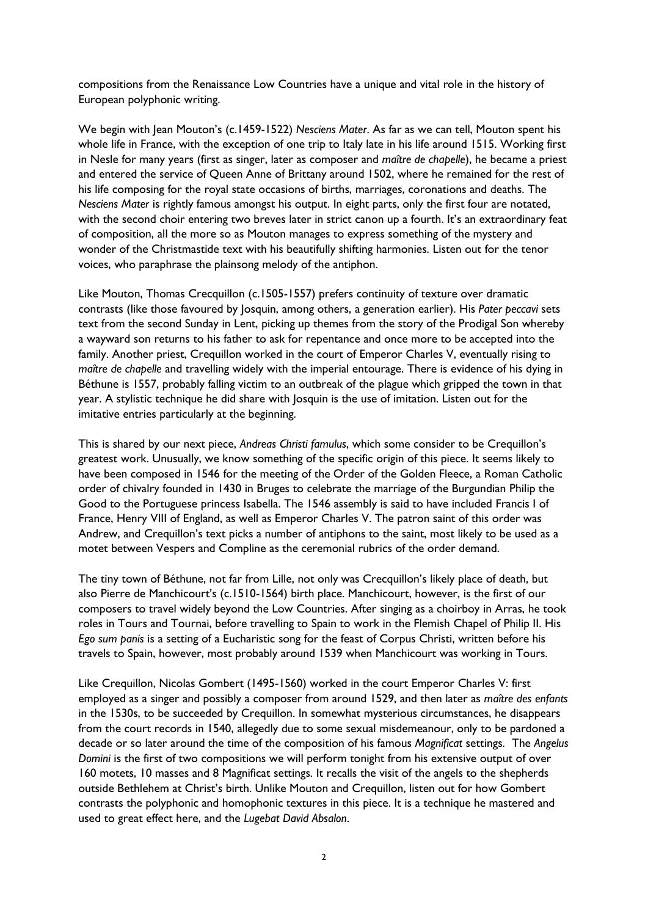compositions from the Renaissance Low Countries have a unique and vital role in the history of European polyphonic writing.

We begin with Jean Mouton's (c.1459-1522) *Nesciens Mater*. As far as we can tell, Mouton spent his whole life in France, with the exception of one trip to Italy late in his life around 1515. Working first in Nesle for many years (first as singer, later as composer and *maître de chapelle*), he became a priest and entered the service of Queen Anne of Brittany around 1502, where he remained for the rest of his life composing for the royal state occasions of births, marriages, coronations and deaths. The *Nesciens Mater* is rightly famous amongst his output. In eight parts, only the first four are notated, with the second choir entering two breves later in strict canon up a fourth. It's an extraordinary feat of composition, all the more so as Mouton manages to express something of the mystery and wonder of the Christmastide text with his beautifully shifting harmonies. Listen out for the tenor voices, who paraphrase the plainsong melody of the antiphon.

Like Mouton, Thomas Crecquillon (c.1505-1557) prefers continuity of texture over dramatic contrasts (like those favoured by Josquin, among others, a generation earlier). His *Pater peccavi* sets text from the second Sunday in Lent, picking up themes from the story of the Prodigal Son whereby a wayward son returns to his father to ask for repentance and once more to be accepted into the family. Another priest, Crequillon worked in the court of Emperor Charles V, eventually rising to *maître de chapelle* and travelling widely with the imperial entourage. There is evidence of his dying in Béthune is 1557, probably falling victim to an outbreak of the plague which gripped the town in that year. A stylistic technique he did share with Josquin is the use of imitation. Listen out for the imitative entries particularly at the beginning.

This is shared by our next piece, *Andreas Christi famulus*, which some consider to be Crequillon's greatest work. Unusually, we know something of the specific origin of this piece. It seems likely to have been composed in 1546 for the meeting of the Order of the Golden Fleece, a Roman Catholic order of chivalry founded in 1430 in Bruges to celebrate the marriage of the Burgundian Philip the Good to the Portuguese princess Isabella. The 1546 assembly is said to have included Francis I of France, Henry VIII of England, as well as Emperor Charles V. The patron saint of this order was Andrew, and Crequillon's text picks a number of antiphons to the saint, most likely to be used as a motet between Vespers and Compline as the ceremonial rubrics of the order demand.

The tiny town of Béthune, not far from Lille, not only was Crecquillon's likely place of death, but also Pierre de Manchicourt's (c.1510-1564) birth place. Manchicourt, however, is the first of our composers to travel widely beyond the Low Countries. After singing as a choirboy in Arras, he took roles in Tours and Tournai, before travelling to Spain to work in the Flemish Chapel of Philip II. His *Ego sum panis* is a setting of a Eucharistic song for the feast of Corpus Christi, written before his travels to Spain, however, most probably around 1539 when Manchicourt was working in Tours.

Like Crequillon, Nicolas Gombert (1495-1560) worked in the court Emperor Charles V: first employed as a singer and possibly a composer from around 1529, and then later as *maître des enfants* in the 1530s, to be succeeded by Crequillon. In somewhat mysterious circumstances, he disappears from the court records in 1540, allegedly due to some sexual misdemeanour, only to be pardoned a decade or so later around the time of the composition of his famous *Magnificat* settings. The *Angelus Domini* is the first of two compositions we will perform tonight from his extensive output of over 160 motets, 10 masses and 8 Magnificat settings. It recalls the visit of the angels to the shepherds outside Bethlehem at Christ's birth. Unlike Mouton and Crequillon, listen out for how Gombert contrasts the polyphonic and homophonic textures in this piece. It is a technique he mastered and used to great effect here, and the *Lugebat David Absalon*.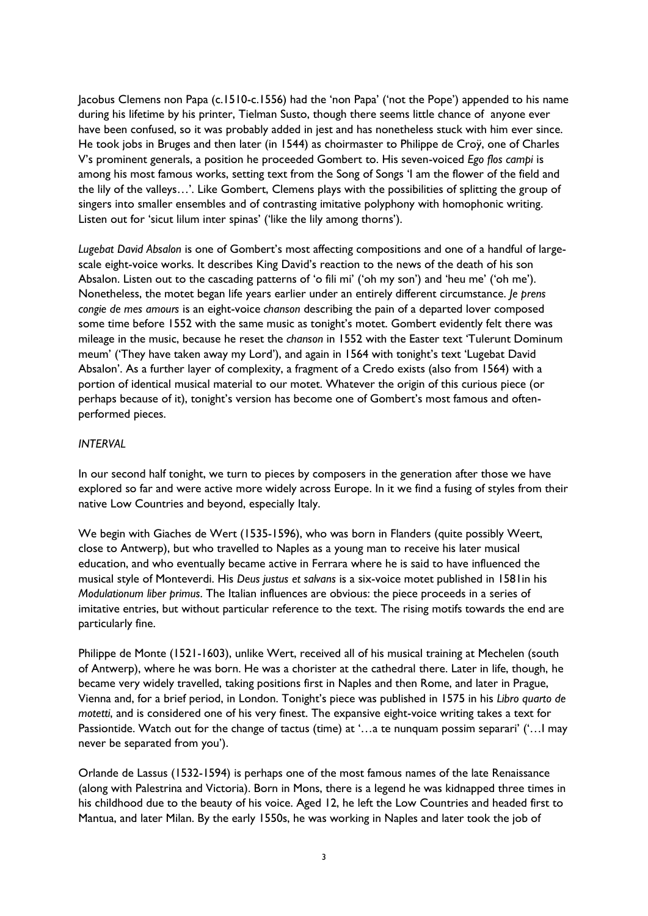Jacobus Clemens non Papa (c.1510-c.1556) had the 'non Papa' ('not the Pope') appended to his name during his lifetime by his printer, Tielman Susto, though there seems little chance of anyone ever have been confused, so it was probably added in jest and has nonetheless stuck with him ever since. He took jobs in Bruges and then later (in 1544) as choirmaster to Philippe de Croÿ, one of Charles V's prominent generals, a position he proceeded Gombert to. His seven-voiced *Ego flos campi* is among his most famous works, setting text from the Song of Songs 'I am the flower of the field and the lily of the valleys…'. Like Gombert, Clemens plays with the possibilities of splitting the group of singers into smaller ensembles and of contrasting imitative polyphony with homophonic writing. Listen out for 'sicut lilum inter spinas' ('like the lily among thorns').

*Lugebat David Absalon* is one of Gombert's most affecting compositions and one of a handful of largescale eight-voice works. It describes King David's reaction to the news of the death of his son Absalon. Listen out to the cascading patterns of 'o fili mi' ('oh my son') and 'heu me' ('oh me'). Nonetheless, the motet began life years earlier under an entirely different circumstance. *Je prens congie de mes amours* is an eight-voice *chanson* describing the pain of a departed lover composed some time before 1552 with the same music as tonight's motet. Gombert evidently felt there was mileage in the music, because he reset the *chanson* in 1552 with the Easter text 'Tulerunt Dominum meum' ('They have taken away my Lord'), and again in 1564 with tonight's text 'Lugebat David Absalon'. As a further layer of complexity, a fragment of a Credo exists (also from 1564) with a portion of identical musical material to our motet. Whatever the origin of this curious piece (or perhaps because of it), tonight's version has become one of Gombert's most famous and oftenperformed pieces.

## *INTERVAL*

In our second half tonight, we turn to pieces by composers in the generation after those we have explored so far and were active more widely across Europe. In it we find a fusing of styles from their native Low Countries and beyond, especially Italy.

We begin with Giaches de Wert (1535-1596), who was born in Flanders (quite possibly Weert, close to Antwerp), but who travelled to Naples as a young man to receive his later musical education, and who eventually became active in Ferrara where he is said to have influenced the musical style of Monteverdi. His *Deus justus et salvans* is a six-voice motet published in 1581in his *Modulationum liber primus*. The Italian influences are obvious: the piece proceeds in a series of imitative entries, but without particular reference to the text. The rising motifs towards the end are particularly fine.

Philippe de Monte (1521-1603), unlike Wert, received all of his musical training at Mechelen (south of Antwerp), where he was born. He was a chorister at the cathedral there. Later in life, though, he became very widely travelled, taking positions first in Naples and then Rome, and later in Prague, Vienna and, for a brief period, in London. Tonight's piece was published in 1575 in his *Libro quarto de motetti*, and is considered one of his very finest. The expansive eight-voice writing takes a text for Passiontide. Watch out for the change of tactus (time) at '…a te nunquam possim separari' ('…I may never be separated from you').

Orlande de Lassus (1532-1594) is perhaps one of the most famous names of the late Renaissance (along with Palestrina and Victoria). Born in Mons, there is a legend he was kidnapped three times in his childhood due to the beauty of his voice. Aged 12, he left the Low Countries and headed first to Mantua, and later Milan. By the early 1550s, he was working in Naples and later took the job of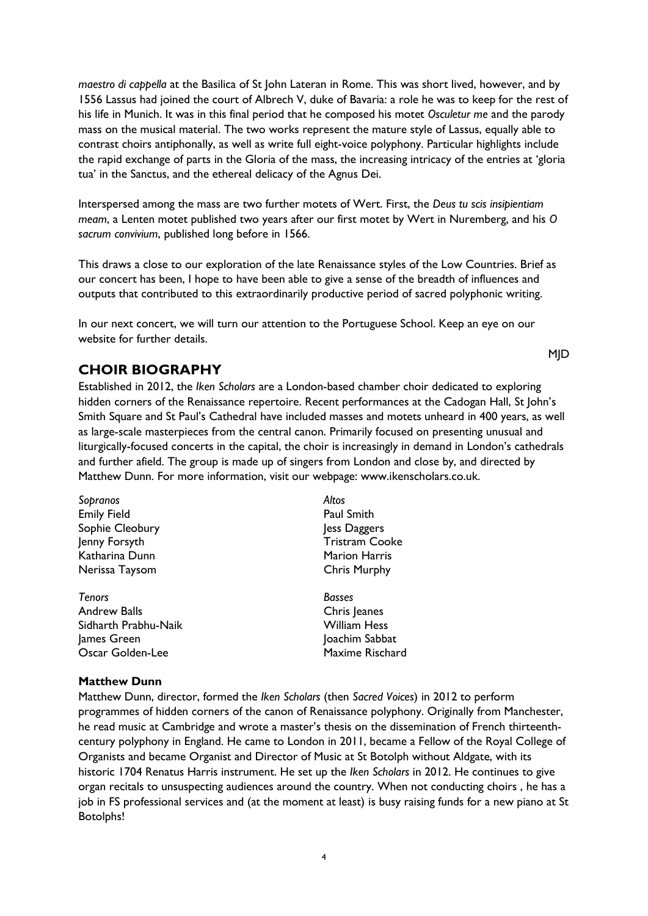*maestro di cappella* at the Basilica of St John Lateran in Rome. This was short lived, however, and by 1556 Lassus had joined the court of Albrech V, duke of Bavaria: a role he was to keep for the rest of his life in Munich. It was in this final period that he composed his motet *Osculetur me* and the parody mass on the musical material. The two works represent the mature style of Lassus, equally able to contrast choirs antiphonally, as well as write full eight-voice polyphony. Particular highlights include the rapid exchange of parts in the Gloria of the mass, the increasing intricacy of the entries at 'gloria tua' in the Sanctus, and the ethereal delicacy of the Agnus Dei.

Interspersed among the mass are two further motets of Wert. First, the *Deus tu scis insipientiam meam*, a Lenten motet published two years after our first motet by Wert in Nuremberg, and his *O sacrum convivium*, published long before in 1566.

This draws a close to our exploration of the late Renaissance styles of the Low Countries. Brief as our concert has been, I hope to have been able to give a sense of the breadth of influences and outputs that contributed to this extraordinarily productive period of sacred polyphonic writing.

In our next concert, we will turn our attention to the Portuguese School. Keep an eye on our website for further details.

# **CHOIR BIOGRAPHY**

Established in 2012, the *Iken Scholars* are a London-based chamber choir dedicated to exploring hidden corners of the Renaissance repertoire. Recent performances at the Cadogan Hall, St John's Smith Square and St Paul's Cathedral have included masses and motets unheard in 400 years, as well as large-scale masterpieces from the central canon. Primarily focused on presenting unusual and liturgically-focused concerts in the capital, the choir is increasingly in demand in London's cathedrals and further afield. The group is made up of singers from London and close by, and directed by Matthew Dunn. For more information, visit our webpage: www.ikenscholars.co.uk.

**MID** 

| Sopranos             | Altos                 |
|----------------------|-----------------------|
| <b>Emily Field</b>   | <b>Paul Smith</b>     |
| Sophie Cleobury      | Jess Daggers          |
| Jenny Forsyth        | <b>Tristram Cooke</b> |
| Katharina Dunn       | <b>Marion Harris</b>  |
| Nerissa Taysom       | <b>Chris Murphy</b>   |
| <b>Tenors</b>        | <b>Basses</b>         |
| <b>Andrew Balls</b>  | Chris Jeanes          |
| Sidharth Prabhu-Naik | <b>William Hess</b>   |
| James Green          | Joachim Sabbat        |
| Oscar Golden-Lee     | Maxime Rischard       |

# **Matthew Dunn**

Matthew Dunn, director, formed the *Iken Scholars* (then *Sacred Voices*) in 2012 to perform programmes of hidden corners of the canon of Renaissance polyphony. Originally from Manchester, he read music at Cambridge and wrote a master's thesis on the dissemination of French thirteenthcentury polyphony in England. He came to London in 2011, became a Fellow of the Royal College of Organists and became Organist and Director of Music at St Botolph without Aldgate, with its historic 1704 Renatus Harris instrument. He set up the *Iken Scholars* in 2012. He continues to give organ recitals to unsuspecting audiences around the country. When not conducting choirs , he has a job in FS professional services and (at the moment at least) is busy raising funds for a new piano at St Botolphs!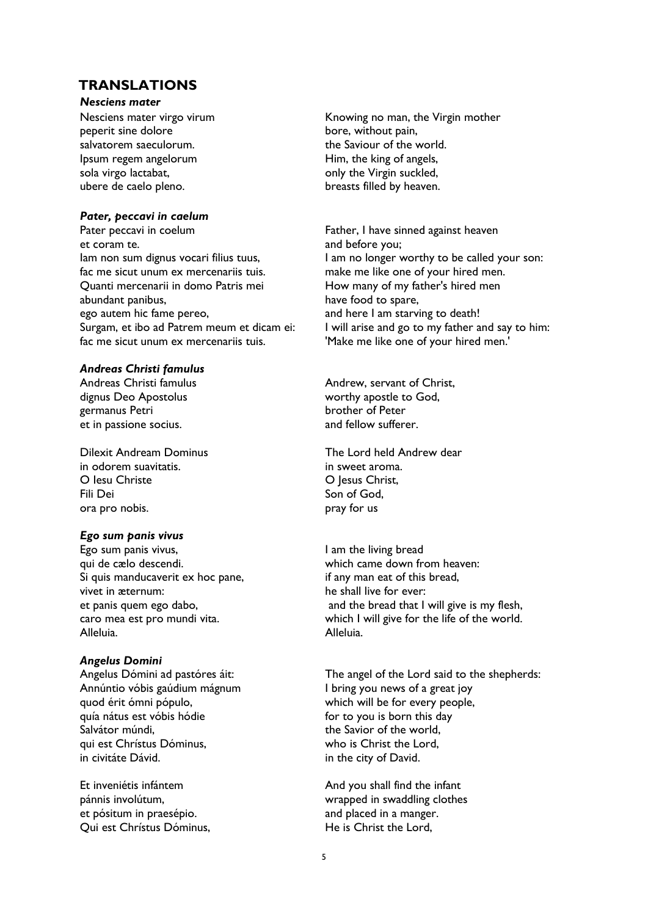# **TRANSLATIONS**

#### *Nesciens mater*

Nesciens mater virgo virum peperit sine dolore salvatorem saeculorum. Ipsum regem angelorum sola virgo lactabat, ubere de caelo pleno.

## *Pater, peccavi in caelum*

Pater peccavi in coelum et coram te. Iam non sum dignus vocari filius tuus, fac me sicut unum ex mercenariis tuis. Quanti mercenarii in domo Patris mei abundant panibus, ego autem hic fame pereo, Surgam, et ibo ad Patrem meum et dicam ei: fac me sicut unum ex mercenariis tuis.

## *Andreas Christi famulus*

Andreas Christi famulus dignus Deo Apostolus germanus Petri et in passione socius.

Dilexit Andream Dominus in odorem suavitatis. O Iesu Christe Fili Dei ora pro nobis.

# *Ego sum panis vivus*

Ego sum panis vivus, qui de cælo descendi. Si quis manducaverit ex hoc pane, vivet in æternum: et panis quem ego dabo, caro mea est pro mundi vita. Alleluia.

## *Angelus Domini*

Angelus Dómini ad pastóres áit: Annúntio vóbis gaúdium mágnum quod érit ómni pópulo, quía nátus est vóbis hódie Salvátor múndi, qui est Chrístus Dóminus, in civitáte Dávid.

Et inveniétis infántem pánnis involútum, et pósitum in praesépio. Qui est Chrístus Dóminus, Knowing no man, the Virgin mother bore, without pain, the Saviour of the world. Him, the king of angels, only the Virgin suckled, breasts filled by heaven.

Father, I have sinned against heaven and before you; I am no longer worthy to be called your son: make me like one of your hired men. How many of my father's hired men have food to spare, and here I am starving to death! I will arise and go to my father and say to him: 'Make me like one of your hired men.'

Andrew, servant of Christ, worthy apostle to God, brother of Peter and fellow sufferer.

The Lord held Andrew dear in sweet aroma. O Jesus Christ, Son of God, pray for us

I am the living bread which came down from heaven: if any man eat of this bread, he shall live for ever: and the bread that I will give is my flesh, which I will give for the life of the world. Alleluia.

The angel of the Lord said to the shepherds: I bring you news of a great joy which will be for every people, for to you is born this day the Savior of the world, who is Christ the Lord, in the city of David.

And you shall find the infant wrapped in swaddling clothes and placed in a manger. He is Christ the Lord,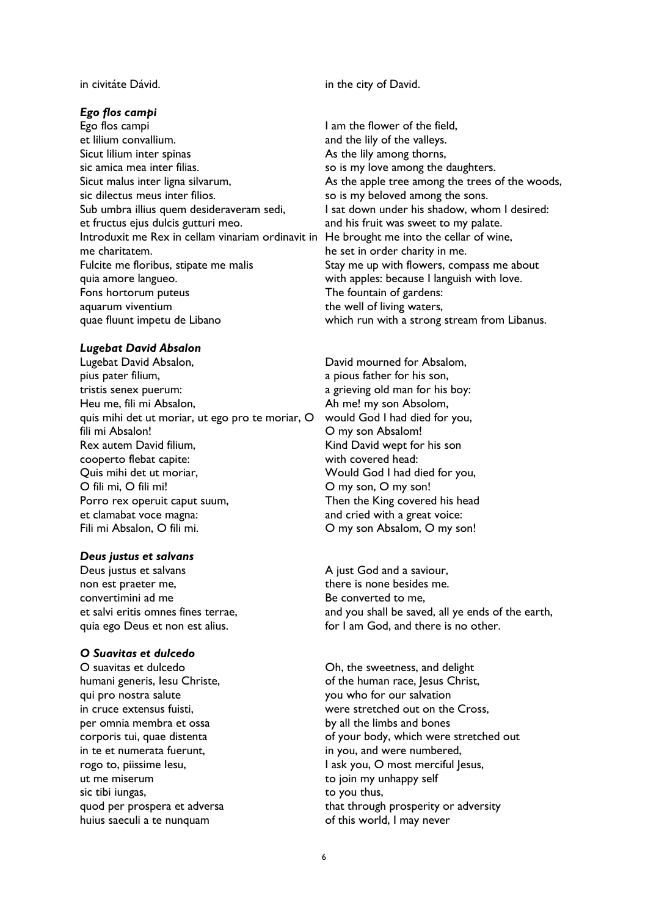## *Ego flos campi*

Ego flos campi et lilium convallium. Sicut lilium inter spinas sic amica mea inter filias. Sicut malus inter ligna silvarum, sic dilectus meus inter filios. Sub umbra illius quem desideraveram sedi, et fructus ejus dulcis gutturi meo. Introduxit me Rex in cellam vinariam ordinavit in He brought me into the cellar of wine, me charitatem. Fulcite me floribus, stipate me malis quia amore langueo. Fons hortorum puteus aquarum viventium quae fluunt impetu de Libano

#### *Lugebat David Absalon*

Lugebat David Absalon, pius pater filium, tristis senex puerum: Heu me, fili mi Absalon, quis mihi det ut moriar, ut ego pro te moriar, O fili mi Absalon! Rex autem David filium, cooperto flebat capite: Quis mihi det ut moriar, O fili mi, O fili mi! Porro rex operuit caput suum, et clamabat voce magna: Fili mi Absalon, O fili mi.

## *Deus justus et salvans*

Deus justus et salvans non est praeter me, convertimini ad me et salvi eritis omnes fines terrae, quia ego Deus et non est alius.

#### *O Suavitas et dulcedo*

O suavitas et dulcedo humani generis, Iesu Christe, qui pro nostra salute in cruce extensus fuisti, per omnia membra et ossa corporis tui, quae distenta in te et numerata fuerunt, rogo to, piissime Iesu, ut me miserum sic tibi iungas, quod per prospera et adversa huius saeculi a te nunquam

in civitáte Dávid. in the city of David.

I am the flower of the field, and the lily of the valleys. As the lily among thorns, so is my love among the daughters. As the apple tree among the trees of the woods, so is my beloved among the sons. I sat down under his shadow, whom I desired: and his fruit was sweet to my palate. he set in order charity in me. Stay me up with flowers, compass me about with apples: because I languish with love. The fountain of gardens: the well of living waters, which run with a strong stream from Libanus.

David mourned for Absalom, a pious father for his son, a grieving old man for his boy: Ah me! my son Absolom, would God I had died for you, O my son Absalom! Kind David wept for his son with covered head: Would God I had died for you, O my son, O my son! Then the King covered his head and cried with a great voice: O my son Absalom, O my son!

A just God and a saviour, there is none besides me. Be converted to me, and you shall be saved, all ye ends of the earth, for I am God, and there is no other.

Oh, the sweetness, and delight of the human race, Jesus Christ, you who for our salvation were stretched out on the Cross, by all the limbs and bones of your body, which were stretched out in you, and were numbered, I ask you, O most merciful Jesus, to join my unhappy self to you thus, that through prosperity or adversity of this world, I may never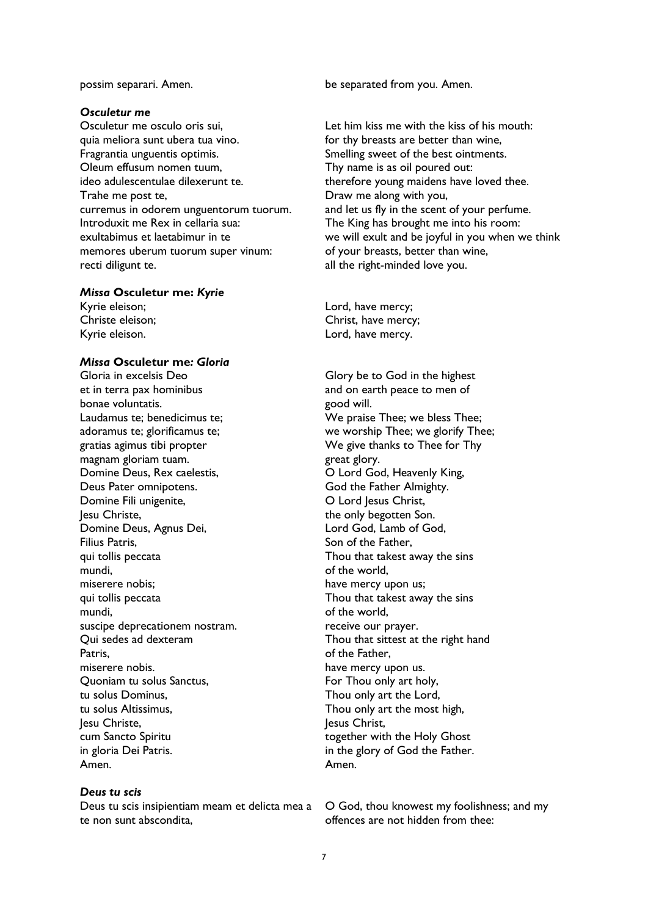#### *Osculetur me*

Osculetur me osculo oris sui, quia meliora sunt ubera tua vino. Fragrantia unguentis optimis. Oleum effusum nomen tuum, ideo adulescentulae dilexerunt te. Trahe me post te, curremus in odorem unguentorum tuorum. Introduxit me Rex in cellaria sua: exultabimus et laetabimur in te memores uberum tuorum super vinum: recti diligunt te.

#### *Missa* **Osculetur me:** *Kyrie*

Kyrie eleison; Christe eleison; Kyrie eleison.

#### *Missa* **Osculetur me***: Gloria*

Gloria in excelsis Deo et in terra pax hominibus bonae voluntatis. Laudamus te; benedicimus te; adoramus te; glorificamus te; gratias agimus tibi propter magnam gloriam tuam. Domine Deus, Rex caelestis, Deus Pater omnipotens. Domine Fili unigenite, Jesu Christe, Domine Deus, Agnus Dei, Filius Patris, qui tollis peccata mundi, miserere nobis; qui tollis peccata mundi, suscipe deprecationem nostram. Qui sedes ad dexteram Patris, miserere nobis. Quoniam tu solus Sanctus, tu solus Dominus, tu solus Altissimus, Jesu Christe, cum Sancto Spiritu in gloria Dei Patris. Amen.

## *Deus tu scis*

Deus tu scis insipientiam meam et delicta mea a te non sunt abscondita,

possim separari. Amen. be separated from you. Amen.

Let him kiss me with the kiss of his mouth: for thy breasts are better than wine, Smelling sweet of the best ointments. Thy name is as oil poured out: therefore young maidens have loved thee. Draw me along with you, and let us fly in the scent of your perfume. The King has brought me into his room: we will exult and be joyful in you when we think of your breasts, better than wine, all the right-minded love you.

Lord, have mercy; Christ, have mercy; Lord, have mercy.

Glory be to God in the highest and on earth peace to men of good will. We praise Thee; we bless Thee; we worship Thee; we glorify Thee; We give thanks to Thee for Thy great glory. O Lord God, Heavenly King, God the Father Almighty. O Lord Jesus Christ, the only begotten Son. Lord God, Lamb of God, Son of the Father, Thou that takest away the sins of the world, have mercy upon us; Thou that takest away the sins of the world, receive our prayer. Thou that sittest at the right hand of the Father, have mercy upon us. For Thou only art holy, Thou only art the Lord, Thou only art the most high, Jesus Christ, together with the Holy Ghost in the glory of God the Father. Amen.

O God, thou knowest my foolishness; and my offences are not hidden from thee: